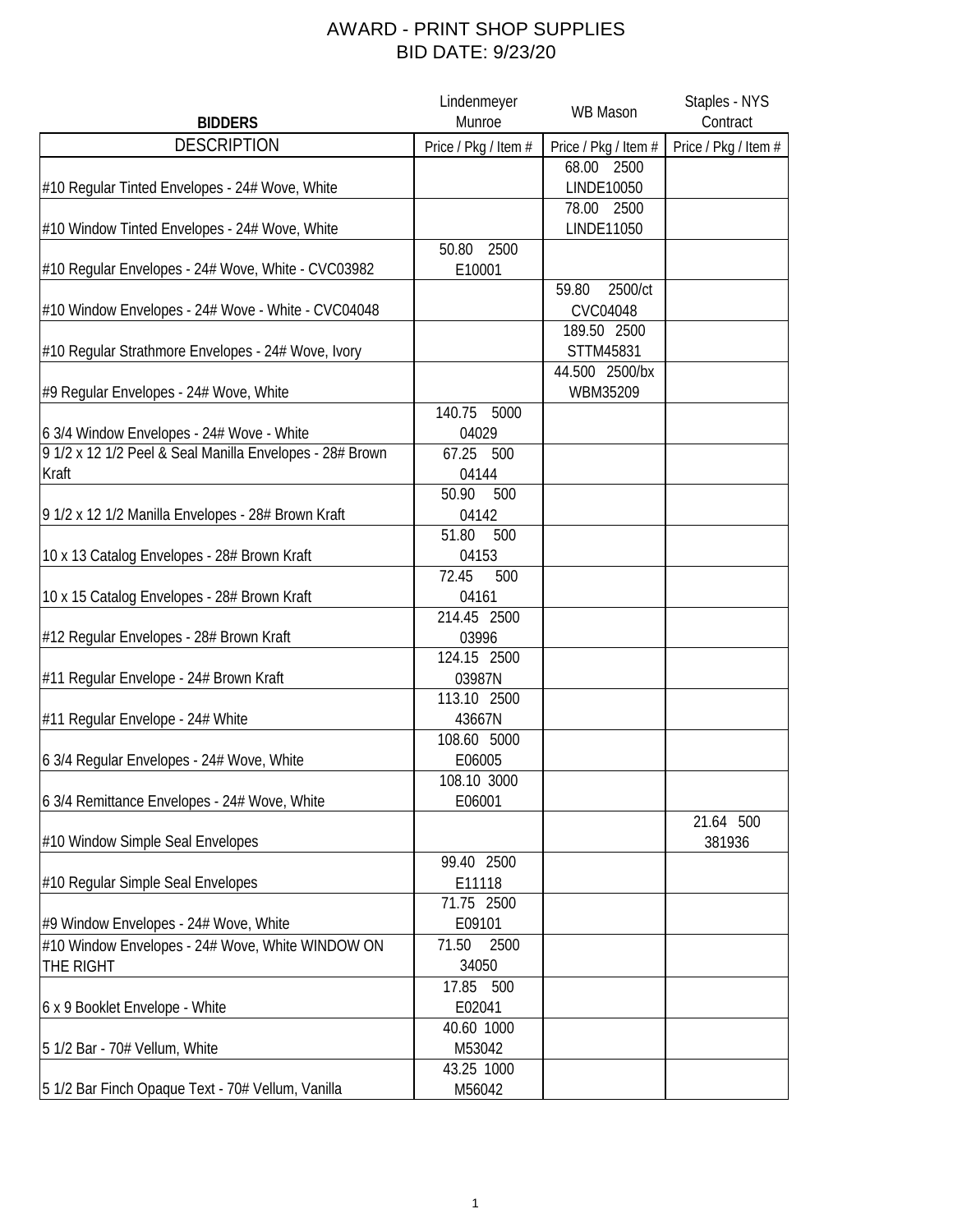## AWARD - PRINT SHOP SUPPLIES BID DATE: 9/23/20

|                                                          | Lindenmeyer          | <b>WB Mason</b>      | Staples - NYS        |
|----------------------------------------------------------|----------------------|----------------------|----------------------|
| <b>BIDDERS</b>                                           | Munroe               |                      | Contract             |
| <b>DESCRIPTION</b>                                       | Price / Pkg / Item # | Price / Pkg / Item # | Price / Pkg / Item # |
|                                                          |                      | 68.00 2500           |                      |
| #10 Regular Tinted Envelopes - 24# Wove, White           |                      | LINDE10050           |                      |
|                                                          |                      | 78.00<br>2500        |                      |
| #10 Window Tinted Envelopes - 24# Wove, White            |                      | LINDE11050           |                      |
|                                                          | 2500<br>50.80        |                      |                      |
| #10 Regular Envelopes - 24# Wove, White - CVC03982       | E10001               |                      |                      |
|                                                          |                      | 2500/ct<br>59.80     |                      |
| #10 Window Envelopes - 24# Wove - White - CVC04048       |                      | <b>CVC04048</b>      |                      |
|                                                          |                      | 189.50 2500          |                      |
| #10 Regular Strathmore Envelopes - 24# Wove, Ivory       |                      | STTM45831            |                      |
|                                                          |                      | 44.500 2500/bx       |                      |
| #9 Regular Envelopes - 24# Wove, White                   |                      | WBM35209             |                      |
|                                                          | 5000<br>140.75       |                      |                      |
| 6 3/4 Window Envelopes - 24# Wove - White                | 04029                |                      |                      |
| 9 1/2 x 12 1/2 Peel & Seal Manilla Envelopes - 28# Brown | 67.25<br>500         |                      |                      |
| Kraft                                                    | 04144                |                      |                      |
|                                                          | 50.90<br>500         |                      |                      |
| 9 1/2 x 12 1/2 Manilla Envelopes - 28# Brown Kraft       | 04142                |                      |                      |
|                                                          | 51.80<br>500         |                      |                      |
| 10 x 13 Catalog Envelopes - 28# Brown Kraft              | 04153                |                      |                      |
|                                                          | 72.45<br>500         |                      |                      |
| 10 x 15 Catalog Envelopes - 28# Brown Kraft              | 04161                |                      |                      |
|                                                          | 214.45 2500          |                      |                      |
| #12 Regular Envelopes - 28# Brown Kraft                  | 03996                |                      |                      |
|                                                          | 124.15 2500          |                      |                      |
| #11 Regular Envelope - 24# Brown Kraft                   | 03987N               |                      |                      |
|                                                          | 113.10 2500          |                      |                      |
| #11 Regular Envelope - 24# White                         | 43667N               |                      |                      |
|                                                          | 108.60 5000          |                      |                      |
| 6 3/4 Regular Envelopes - 24# Wove, White                | E06005               |                      |                      |
|                                                          | 108.10 3000          |                      |                      |
| 6 3/4 Remittance Envelopes - 24# Wove, White             | E06001               |                      |                      |
|                                                          |                      |                      | 21.64 500            |
| #10 Window Simple Seal Envelopes                         |                      |                      | 381936               |
|                                                          | 99.40 2500           |                      |                      |
| #10 Regular Simple Seal Envelopes                        | E11118               |                      |                      |
|                                                          | 71.75 2500           |                      |                      |
| #9 Window Envelopes - 24# Wove, White                    | E09101               |                      |                      |
| #10 Window Envelopes - 24# Wove, White WINDOW ON         | 71.50<br>2500        |                      |                      |
| THE RIGHT                                                | 34050                |                      |                      |
|                                                          | 17.85 500            |                      |                      |
| 6 x 9 Booklet Envelope - White                           | E02041               |                      |                      |
|                                                          | 40.60 1000           |                      |                      |
| 5 1/2 Bar - 70# Vellum, White                            | M53042               |                      |                      |
|                                                          | 43.25 1000           |                      |                      |
| 5 1/2 Bar Finch Opaque Text - 70# Vellum, Vanilla        | M56042               |                      |                      |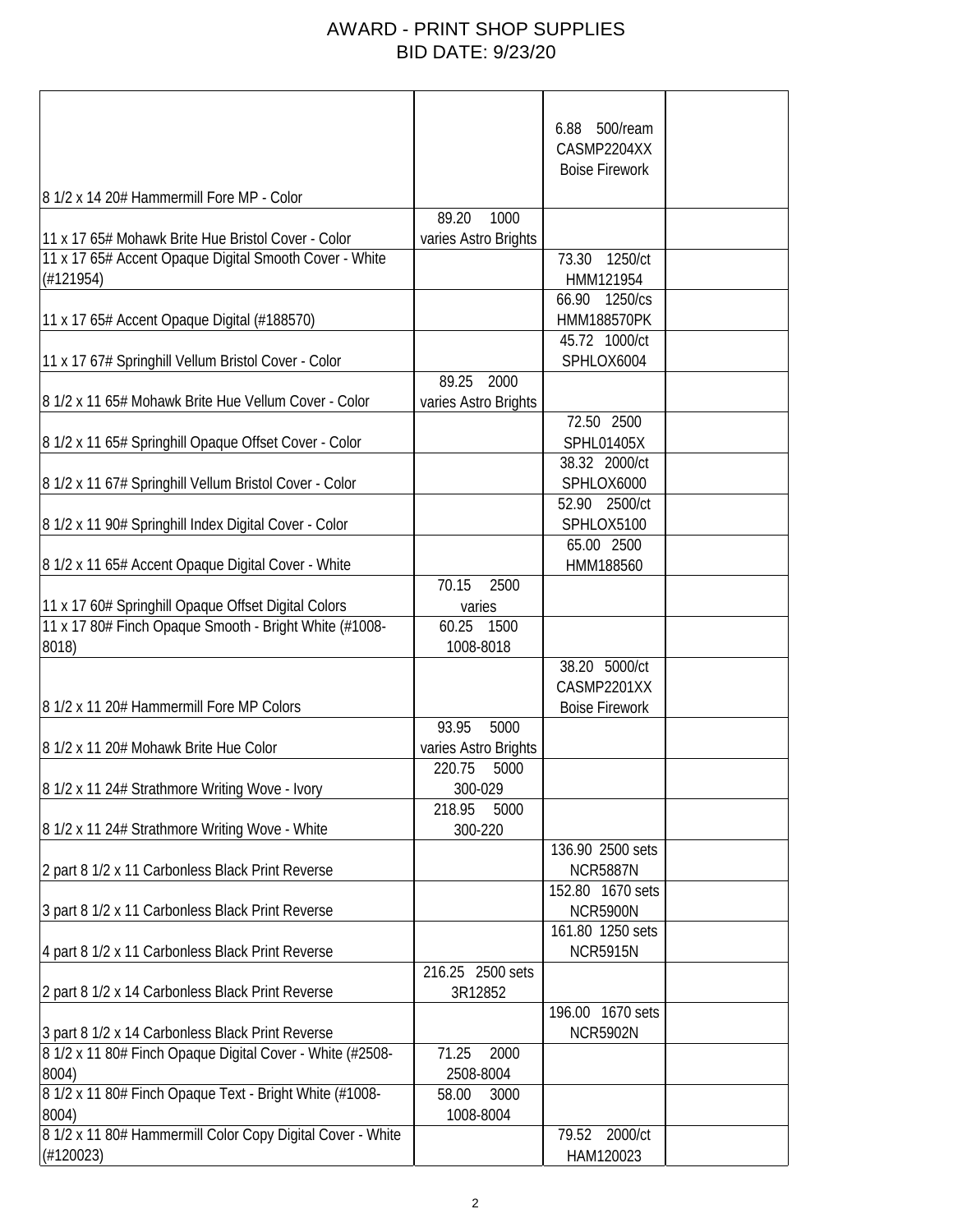## AWARD - PRINT SHOP SUPPLIES BID DATE: 9/23/20

|                                                            |                      | 500/ream<br>6.88      |  |
|------------------------------------------------------------|----------------------|-----------------------|--|
|                                                            |                      | CASMP2204XX           |  |
|                                                            |                      | <b>Boise Firework</b> |  |
|                                                            |                      |                       |  |
| 8 1/2 x 14 20# Hammermill Fore MP - Color                  |                      |                       |  |
|                                                            | 89.20<br>1000        |                       |  |
| 11 x 17 65# Mohawk Brite Hue Bristol Cover - Color         | varies Astro Brights |                       |  |
| 11 x 17 65# Accent Opaque Digital Smooth Cover - White     |                      | 1250/ct<br>73.30      |  |
| (H121954)                                                  |                      | HMM121954             |  |
|                                                            |                      | 1250/cs<br>66.90      |  |
| 11 x 17 65# Accent Opaque Digital (#188570)                |                      | <b>HMM188570PK</b>    |  |
|                                                            |                      | 45.72 1000/ct         |  |
| 11 x 17 67# Springhill Vellum Bristol Cover - Color        | 89.25 2000           | SPHLOX6004            |  |
|                                                            |                      |                       |  |
| 8 1/2 x 11 65# Mohawk Brite Hue Vellum Cover - Color       | varies Astro Brights | 72.50 2500            |  |
|                                                            |                      | <b>SPHL01405X</b>     |  |
| 8 1/2 x 11 65# Springhill Opaque Offset Cover - Color      |                      | 38.32 2000/ct         |  |
| 8 1/2 x 11 67# Springhill Vellum Bristol Cover - Color     |                      | SPHLOX6000            |  |
|                                                            |                      | 2500/ct<br>52.90      |  |
| 8 1/2 x 11 90# Springhill Index Digital Cover - Color      |                      | SPHLOX5100            |  |
|                                                            |                      | 65.00 2500            |  |
| 8 1/2 x 11 65# Accent Opaque Digital Cover - White         |                      | HMM188560             |  |
|                                                            | 2500<br>70.15        |                       |  |
| 11 x 17 60# Springhill Opaque Offset Digital Colors        | varies               |                       |  |
| 11 x 17 80# Finch Opaque Smooth - Bright White (#1008-     | 60.25<br>1500        |                       |  |
| 8018)                                                      | 1008-8018            |                       |  |
|                                                            |                      | 38.20 5000/ct         |  |
|                                                            |                      | CASMP2201XX           |  |
| 8 1/2 x 11 20# Hammermill Fore MP Colors                   |                      | <b>Boise Firework</b> |  |
|                                                            | 93.95<br>5000        |                       |  |
| 8 1/2 x 11 20# Mohawk Brite Hue Color                      | varies Astro Brights |                       |  |
|                                                            | 220.75<br>5000       |                       |  |
| 8 1/2 x 11 24# Strathmore Writing Wove - Ivory             | 300-029              |                       |  |
|                                                            | 218.95<br>5000       |                       |  |
| 8 1/2 x 11 24# Strathmore Writing Wove - White             | 300-220              |                       |  |
|                                                            |                      | 136.90 2500 sets      |  |
| 2 part 8 1/2 x 11 Carbonless Black Print Reverse           |                      | <b>NCR5887N</b>       |  |
|                                                            |                      | 152.80 1670 sets      |  |
| 3 part 8 1/2 x 11 Carbonless Black Print Reverse           |                      | <b>NCR5900N</b>       |  |
|                                                            |                      | 161.80 1250 sets      |  |
| 4 part 8 1/2 x 11 Carbonless Black Print Reverse           |                      | <b>NCR5915N</b>       |  |
|                                                            | 216.25 2500 sets     |                       |  |
| 2 part 8 1/2 x 14 Carbonless Black Print Reverse           | 3R12852              |                       |  |
|                                                            |                      | 196.00 1670 sets      |  |
| 3 part 8 1/2 x 14 Carbonless Black Print Reverse           |                      | <b>NCR5902N</b>       |  |
| 8 1/2 x 11 80# Finch Opaque Digital Cover - White (#2508-  | 71.25<br>2000        |                       |  |
| 8004)                                                      | 2508-8004            |                       |  |
| 8 1/2 x 11 80# Finch Opaque Text - Bright White (#1008-    | 3000<br>58.00        |                       |  |
| 8004)                                                      | 1008-8004            |                       |  |
| 8 1/2 x 11 80# Hammermill Color Copy Digital Cover - White |                      | 79.52<br>2000/ct      |  |
| (H120023)                                                  |                      | HAM120023             |  |